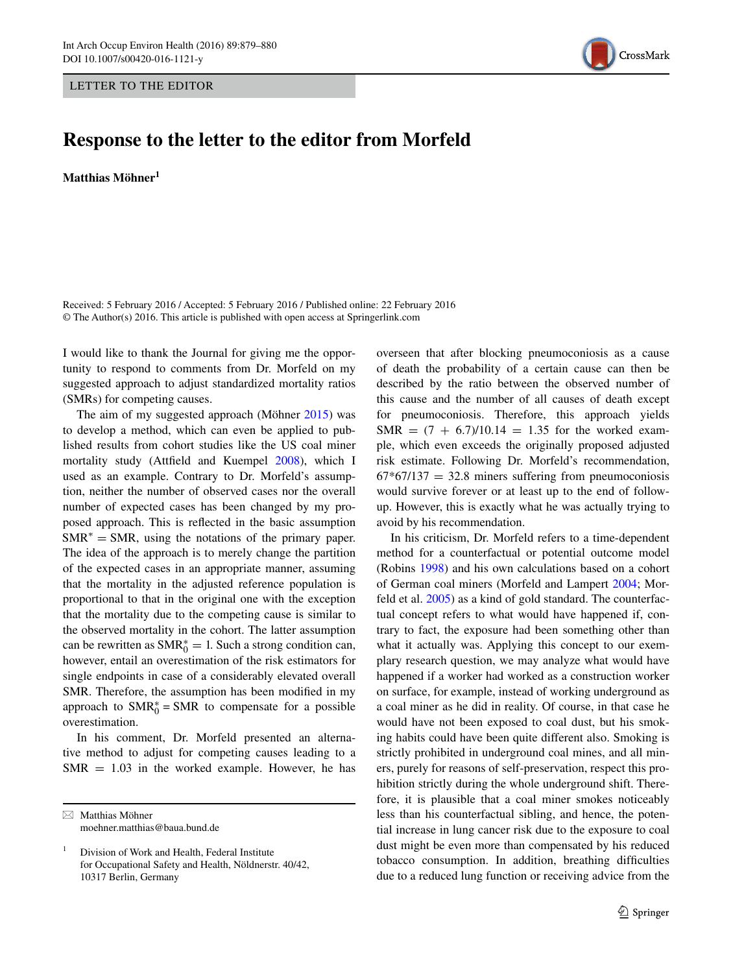LETTER TO THE EDITOR



## **Response to the letter to the editor from Morfeld**

**Matthias Möhner1**

Received: 5 February 2016 / Accepted: 5 February 2016 / Published online: 22 February 2016 © The Author(s) 2016. This article is published with open access at Springerlink.com

I would like to thank the Journal for giving me the opportunity to respond to comments from Dr. Morfeld on my suggested approach to adjust standardized mortality ratios (SMRs) for competing causes.

The aim of my suggested approach (Möhner [2015](#page-1-3)) was to develop a method, which can even be applied to published results from cohort studies like the US coal miner mortality study (Attfield and Kuempel [2008\)](#page-1-4), which I used as an example. Contrary to Dr. Morfeld's assumption, neither the number of observed cases nor the overall number of expected cases has been changed by my proposed approach. This is reflected in the basic assumption  $SMR^* = SMR$ , using the notations of the primary paper. The idea of the approach is to merely change the partition of the expected cases in an appropriate manner, assuming that the mortality in the adjusted reference population is proportional to that in the original one with the exception that the mortality due to the competing cause is similar to the observed mortality in the cohort. The latter assumption can be rewritten as  $\text{SMR}_0^* = 1$ . Such a strong condition can, however, entail an overestimation of the risk estimators for single endpoints in case of a considerably elevated overall SMR. Therefore, the assumption has been modified in my approach to  $SMR_0^* = SMR$  to compensate for a possible overestimation.

In his comment, Dr. Morfeld presented an alternative method to adjust for competing causes leading to a  $SMR = 1.03$  in the worked example. However, he has

 $\boxtimes$  Matthias Möhner moehner.matthias@baua.bund.de overseen that after blocking pneumoconiosis as a cause of death the probability of a certain cause can then be described by the ratio between the observed number of this cause and the number of all causes of death except for pneumoconiosis. Therefore, this approach yields  $SMR = (7 + 6.7)/10.14 = 1.35$  for the worked example, which even exceeds the originally proposed adjusted risk estimate. Following Dr. Morfeld's recommendation,  $67*67/137 = 32.8$  miners suffering from pneumoconiosis would survive forever or at least up to the end of followup. However, this is exactly what he was actually trying to avoid by his recommendation.

In his criticism, Dr. Morfeld refers to a time-dependent method for a counterfactual or potential outcome model (Robins [1998](#page-1-0)) and his own calculations based on a cohort of German coal miners (Morfeld and Lampert [2004;](#page-1-1) Morfeld et al. [2005](#page-1-2)) as a kind of gold standard. The counterfactual concept refers to what would have happened if, contrary to fact, the exposure had been something other than what it actually was. Applying this concept to our exemplary research question, we may analyze what would have happened if a worker had worked as a construction worker on surface, for example, instead of working underground as a coal miner as he did in reality. Of course, in that case he would have not been exposed to coal dust, but his smoking habits could have been quite different also. Smoking is strictly prohibited in underground coal mines, and all miners, purely for reasons of self-preservation, respect this prohibition strictly during the whole underground shift. Therefore, it is plausible that a coal miner smokes noticeably less than his counterfactual sibling, and hence, the potential increase in lung cancer risk due to the exposure to coal dust might be even more than compensated by his reduced tobacco consumption. In addition, breathing difficulties due to a reduced lung function or receiving advice from the

<sup>1</sup> Division of Work and Health, Federal Institute for Occupational Safety and Health, Nöldnerstr. 40/42, 10317 Berlin, Germany